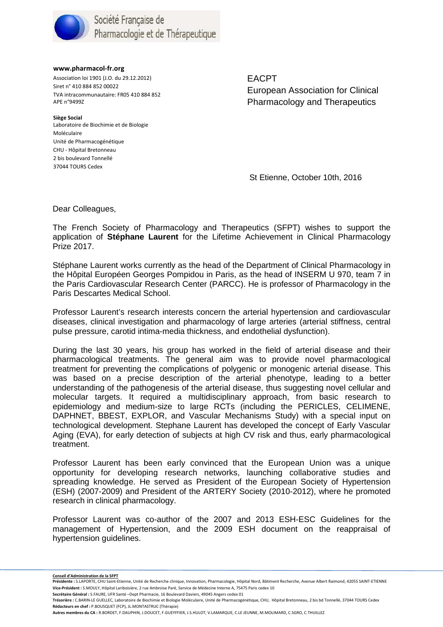

**www.pharmacol-fr.org** 

Association loi 1901 (J.O. du 29.12.2012) Siret n° 410 884 852 00022 TVA intracommunautaire: FR05 410 884 852 APE n°9499Z

 Laboratoire de Biochimie et de Biologie CHU - Hôpital Bretonneau 2 bis boulevard Tonnellé **Siège Social**  Moléculaire Unité de Pharmacogénétique 37044 TOURS Cedex

EACPT European Association for Clinical Pharmacology and Therapeutics

St Etienne, October 10th, 2016

Dear Colleagues,

The French Society of Pharmacology and Therapeutics (SFPT) wishes to support the application of **Stéphane Laurent** for the Lifetime Achievement in Clinical Pharmacology Prize 2017.

Stéphane Laurent works currently as the head of the Department of Clinical Pharmacology in the Hôpital Européen Georges Pompidou in Paris, as the head of INSERM U 970, team 7 in the Paris Cardiovascular Research Center (PARCC). He is professor of Pharmacology in the Paris Descartes Medical School.

Professor Laurent's research interests concern the arterial hypertension and cardiovascular diseases, clinical investigation and pharmacology of large arteries (arterial stiffness, central pulse pressure, carotid intima-media thickness, and endothelial dysfunction).

During the last 30 years, his group has worked in the field of arterial disease and their pharmacological treatments. The general aim was to provide novel pharmacological treatment for preventing the complications of polygenic or monogenic arterial disease. This was based on a precise description of the arterial phenotype, leading to a better understanding of the pathogenesis of the arterial disease, thus suggesting novel cellular and molecular targets. It required a multidisciplinary approach, from basic research to epidemiology and medium-size to large RCTs (including the PERICLES, CELIMENE, DAPHNET, BBEST, EXPLOR, and Vascular Mechanisms Study) with a special input on technological development. Stephane Laurent has developed the concept of Early Vascular Aging (EVA), for early detection of subjects at high CV risk and thus, early pharmacological treatment.

Professor Laurent has been early convinced that the European Union was a unique opportunity for developing research networks, launching collaborative studies and spreading knowledge. He served as President of the European Society of Hypertension (ESH) (2007-2009) and President of the ARTERY Society (2010-2012), where he promoted research in clinical pharmacology.

Professor Laurent was co-author of the 2007 and 2013 ESH-ESC Guidelines for the management of Hypertension, and the 2009 ESH document on the reappraisal of hypertension guidelines.

**Secrétaire Général :** S.FAURE, UFR Santé –Dept Pharmacie, 16 Boulevard Daviers, 49045 Angers cedex 01

**Autres membres du CA :** R.BORDET, F.DAUPHIN, J.DOUCET, F.GUEYFFIER, J.S.HULOT, V.LAMARQUE, C.LE JEUNNE, M.MOLIMARD, C.SGRO, C.THUILLEZ

<sup>&</sup>lt;u>Conseil d'Administration de la SFPT</u><br>Présidente : S.LAPORTE, CHU Saint-Etienne, Unité de Recherche clinique, Innovation, Pharmacologie, Hôpital Nord, Bâtiment Recherche, Avenue Albert Raimond, 42055 SAINT-ETIENNE **Vice-Président :** S.MOULY, Hôpital Lariboisière, 2 rue Ambroise Paré, Service de Médecine Interne A, 75475 Paris cedex 10

**Trésorière :** C.BARIN-LE GUELLEC, Laboratoire de Biochimie et Biologie Moléculaire, Unité de Pharmacogénétique, CHU, Hôpital Bretonneau, 2 bis bd Tonnellé, 37044 TOURS Cedex **Rédacteurs en chef :** P.BOUSQUET (FCP), JL.MONTASTRUC (Thérapie)